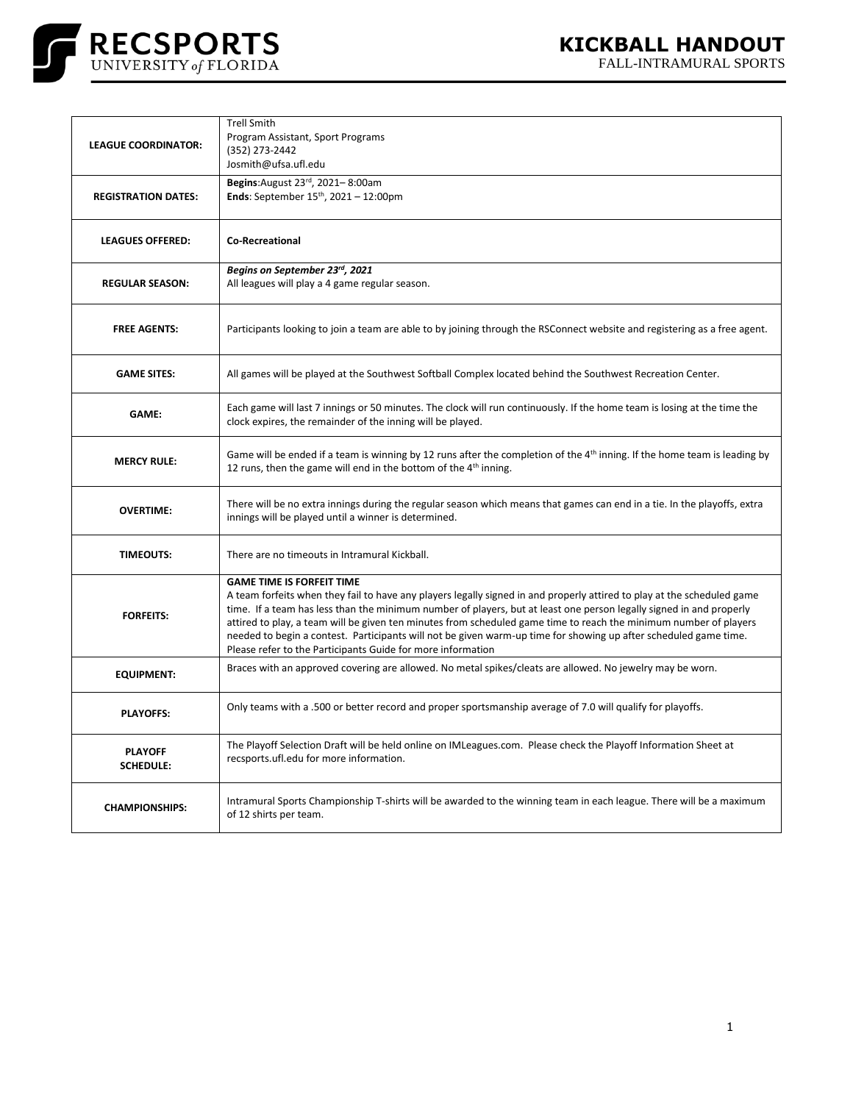

| <b>LEAGUE COORDINATOR:</b>         | <b>Trell Smith</b><br>Program Assistant, Sport Programs<br>(352) 273-2442<br>Josmith@ufsa.ufl.edu                                                                                                                                                                                                                                                                                                                                                                                                                                                                                          |
|------------------------------------|--------------------------------------------------------------------------------------------------------------------------------------------------------------------------------------------------------------------------------------------------------------------------------------------------------------------------------------------------------------------------------------------------------------------------------------------------------------------------------------------------------------------------------------------------------------------------------------------|
| <b>REGISTRATION DATES:</b>         | Begins: August 23rd, 2021-8:00am<br><b>Ends:</b> September $15^{th}$ , $2021 - 12:00$ pm                                                                                                                                                                                                                                                                                                                                                                                                                                                                                                   |
| <b>LEAGUES OFFERED:</b>            | <b>Co-Recreational</b>                                                                                                                                                                                                                                                                                                                                                                                                                                                                                                                                                                     |
| <b>REGULAR SEASON:</b>             | Begins on September 23rd, 2021<br>All leagues will play a 4 game regular season.                                                                                                                                                                                                                                                                                                                                                                                                                                                                                                           |
| <b>FREE AGENTS:</b>                | Participants looking to join a team are able to by joining through the RSConnect website and registering as a free agent.                                                                                                                                                                                                                                                                                                                                                                                                                                                                  |
| <b>GAME SITES:</b>                 | All games will be played at the Southwest Softball Complex located behind the Southwest Recreation Center.                                                                                                                                                                                                                                                                                                                                                                                                                                                                                 |
| GAME:                              | Each game will last 7 innings or 50 minutes. The clock will run continuously. If the home team is losing at the time the<br>clock expires, the remainder of the inning will be played.                                                                                                                                                                                                                                                                                                                                                                                                     |
| <b>MERCY RULE:</b>                 | Game will be ended if a team is winning by 12 runs after the completion of the 4 <sup>th</sup> inning. If the home team is leading by<br>12 runs, then the game will end in the bottom of the 4 <sup>th</sup> inning.                                                                                                                                                                                                                                                                                                                                                                      |
| <b>OVERTIME:</b>                   | There will be no extra innings during the regular season which means that games can end in a tie. In the playoffs, extra<br>innings will be played until a winner is determined.                                                                                                                                                                                                                                                                                                                                                                                                           |
| <b>TIMEOUTS:</b>                   | There are no timeouts in Intramural Kickball.                                                                                                                                                                                                                                                                                                                                                                                                                                                                                                                                              |
| <b>FORFEITS:</b>                   | <b>GAME TIME IS FORFEIT TIME</b><br>A team forfeits when they fail to have any players legally signed in and properly attired to play at the scheduled game<br>time. If a team has less than the minimum number of players, but at least one person legally signed in and properly<br>attired to play, a team will be given ten minutes from scheduled game time to reach the minimum number of players<br>needed to begin a contest. Participants will not be given warm-up time for showing up after scheduled game time.<br>Please refer to the Participants Guide for more information |
| <b>EQUIPMENT:</b>                  | Braces with an approved covering are allowed. No metal spikes/cleats are allowed. No jewelry may be worn.                                                                                                                                                                                                                                                                                                                                                                                                                                                                                  |
| <b>PLAYOFFS:</b>                   | Only teams with a .500 or better record and proper sportsmanship average of 7.0 will qualify for playoffs.                                                                                                                                                                                                                                                                                                                                                                                                                                                                                 |
| <b>PLAYOFF</b><br><b>SCHEDULE:</b> | The Playoff Selection Draft will be held online on IMLeagues.com. Please check the Playoff Information Sheet at<br>recsports.ufl.edu for more information.                                                                                                                                                                                                                                                                                                                                                                                                                                 |
| <b>CHAMPIONSHIPS:</b>              | Intramural Sports Championship T-shirts will be awarded to the winning team in each league. There will be a maximum<br>of 12 shirts per team.                                                                                                                                                                                                                                                                                                                                                                                                                                              |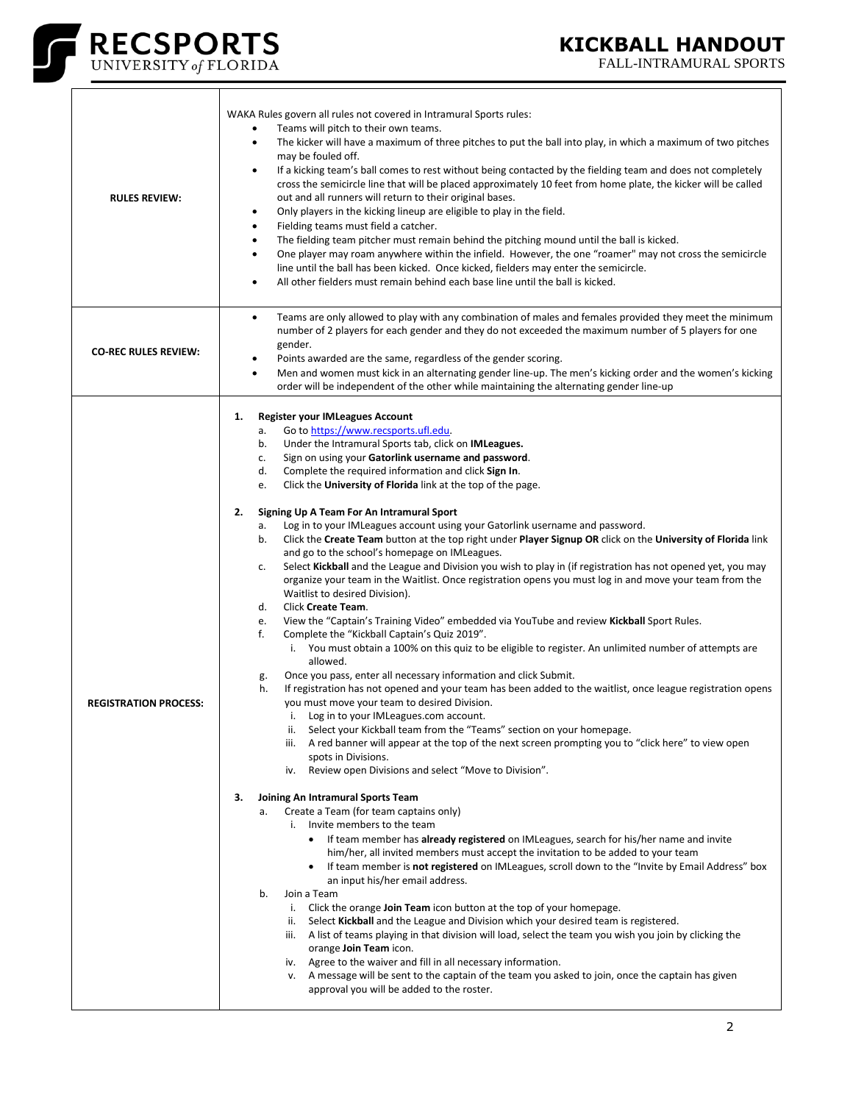

 $\overline{\mathsf{T}}$ 

 $\Gamma$ 

FALL-INTRAMURAL SPORTS

| <b>RULES REVIEW:</b>         | WAKA Rules govern all rules not covered in Intramural Sports rules:<br>Teams will pitch to their own teams.<br>The kicker will have a maximum of three pitches to put the ball into play, in which a maximum of two pitches<br>$\bullet$<br>may be fouled off.<br>If a kicking team's ball comes to rest without being contacted by the fielding team and does not completely<br>$\bullet$<br>cross the semicircle line that will be placed approximately 10 feet from home plate, the kicker will be called<br>out and all runners will return to their original bases.<br>Only players in the kicking lineup are eligible to play in the field.<br>$\bullet$<br>Fielding teams must field a catcher.<br>$\bullet$<br>The fielding team pitcher must remain behind the pitching mound until the ball is kicked.<br>$\bullet$<br>One player may roam anywhere within the infield. However, the one "roamer" may not cross the semicircle<br>$\bullet$<br>line until the ball has been kicked. Once kicked, fielders may enter the semicircle.<br>All other fielders must remain behind each base line until the ball is kicked.<br>$\bullet$                                                                                                                                                                                                                                                                                                                                                                                                                                                                                                                                                                                                                                                                                                                                                                                                                                                                                                                                                                                                                                                                                                                                                                                                                                                                                                                                                                                                                                                                                                                                                                                                                                                                                                                                    |
|------------------------------|---------------------------------------------------------------------------------------------------------------------------------------------------------------------------------------------------------------------------------------------------------------------------------------------------------------------------------------------------------------------------------------------------------------------------------------------------------------------------------------------------------------------------------------------------------------------------------------------------------------------------------------------------------------------------------------------------------------------------------------------------------------------------------------------------------------------------------------------------------------------------------------------------------------------------------------------------------------------------------------------------------------------------------------------------------------------------------------------------------------------------------------------------------------------------------------------------------------------------------------------------------------------------------------------------------------------------------------------------------------------------------------------------------------------------------------------------------------------------------------------------------------------------------------------------------------------------------------------------------------------------------------------------------------------------------------------------------------------------------------------------------------------------------------------------------------------------------------------------------------------------------------------------------------------------------------------------------------------------------------------------------------------------------------------------------------------------------------------------------------------------------------------------------------------------------------------------------------------------------------------------------------------------------------------------------------------------------------------------------------------------------------------------------------------------------------------------------------------------------------------------------------------------------------------------------------------------------------------------------------------------------------------------------------------------------------------------------------------------------------------------------------------------------------------------------------------------------------------------------------------------------|
| <b>CO-REC RULES REVIEW:</b>  | Teams are only allowed to play with any combination of males and females provided they meet the minimum<br>$\bullet$<br>number of 2 players for each gender and they do not exceeded the maximum number of 5 players for one<br>gender.<br>Points awarded are the same, regardless of the gender scoring.<br>٠<br>Men and women must kick in an alternating gender line-up. The men's kicking order and the women's kicking<br>$\bullet$<br>order will be independent of the other while maintaining the alternating gender line-up                                                                                                                                                                                                                                                                                                                                                                                                                                                                                                                                                                                                                                                                                                                                                                                                                                                                                                                                                                                                                                                                                                                                                                                                                                                                                                                                                                                                                                                                                                                                                                                                                                                                                                                                                                                                                                                                                                                                                                                                                                                                                                                                                                                                                                                                                                                                             |
| <b>REGISTRATION PROCESS:</b> | <b>Register your IMLeagues Account</b><br>1.<br>Go to https://www.recsports.ufl.edu.<br>а.<br>Under the Intramural Sports tab, click on IMLeagues.<br>b.<br>Sign on using your Gatorlink username and password.<br>c.<br>d.<br>Complete the required information and click Sign In.<br>Click the University of Florida link at the top of the page.<br>e.<br>2.<br>Signing Up A Team For An Intramural Sport<br>Log in to your IMLeagues account using your Gatorlink username and password.<br>а.<br>Click the Create Team button at the top right under Player Signup OR click on the University of Florida link<br>b.<br>and go to the school's homepage on IMLeagues.<br>Select Kickball and the League and Division you wish to play in (if registration has not opened yet, you may<br>c.<br>organize your team in the Waitlist. Once registration opens you must log in and move your team from the<br>Waitlist to desired Division).<br>Click Create Team.<br>d.<br>View the "Captain's Training Video" embedded via YouTube and review Kickball Sport Rules.<br>e.<br>f.<br>Complete the "Kickball Captain's Quiz 2019".<br>i. You must obtain a 100% on this quiz to be eligible to register. An unlimited number of attempts are<br>allowed.<br>Once you pass, enter all necessary information and click Submit.<br>g.<br>If registration has not opened and your team has been added to the waitlist, once league registration opens<br>h.<br>you must move your team to desired Division.<br>i. Log in to your IMLeagues.com account.<br>Select your Kickball team from the "Teams" section on your homepage.<br>ш.<br>A red banner will appear at the top of the next screen prompting you to "click here" to view open<br>iii.<br>spots in Divisions.<br>Review open Divisions and select "Move to Division".<br>iv.<br>З.<br>Joining An Intramural Sports Team<br>Create a Team (for team captains only)<br>a.<br>i. Invite members to the team<br>If team member has already registered on IMLeagues, search for his/her name and invite<br>$\bullet$<br>him/her, all invited members must accept the invitation to be added to your team<br>If team member is <b>not registered</b> on IMLeagues, scroll down to the "Invite by Email Address" box<br>٠<br>an input his/her email address.<br>b.<br>Join a Team<br>i. Click the orange <b>Join Team</b> icon button at the top of your homepage.<br>Select Kickball and the League and Division which your desired team is registered.<br>ii.<br>iii. A list of teams playing in that division will load, select the team you wish you join by clicking the<br>orange Join Team icon.<br>iv. Agree to the waiver and fill in all necessary information.<br>A message will be sent to the captain of the team you asked to join, once the captain has given<br>v.<br>approval you will be added to the roster. |